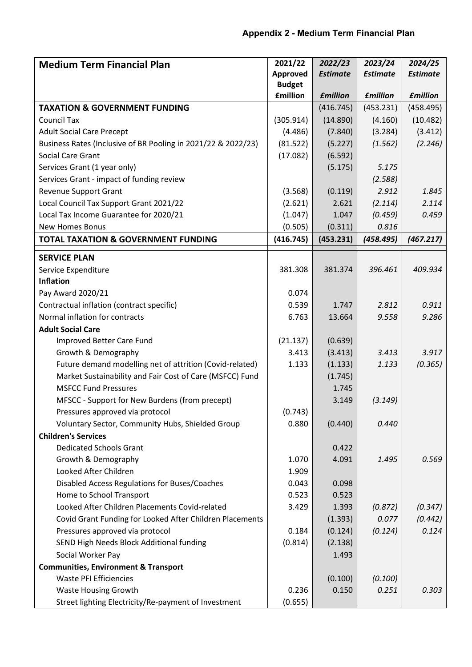| <b>Medium Term Financial Plan</b>                             | 2021/22         | 2022/23         | 2023/24         | 2024/25         |
|---------------------------------------------------------------|-----------------|-----------------|-----------------|-----------------|
|                                                               | <b>Approved</b> | <b>Estimate</b> | <b>Estimate</b> | <b>Estimate</b> |
|                                                               | <b>Budget</b>   |                 |                 |                 |
|                                                               | <b>£million</b> | <b>£million</b> | <b>£million</b> | <b>£million</b> |
| <b>TAXATION &amp; GOVERNMENT FUNDING</b>                      |                 | (416.745)       | (453.231)       | (458.495)       |
| <b>Council Tax</b>                                            | (305.914)       | (14.890)        | (4.160)         | (10.482)        |
| <b>Adult Social Care Precept</b>                              | (4.486)         | (7.840)         | (3.284)         | (3.412)         |
| Business Rates (Inclusive of BR Pooling in 2021/22 & 2022/23) | (81.522)        | (5.227)         | (1.562)         | (2.246)         |
| Social Care Grant                                             | (17.082)        | (6.592)         |                 |                 |
| Services Grant (1 year only)                                  |                 | (5.175)         | 5.175           |                 |
| Services Grant - impact of funding review                     |                 |                 | (2.588)         |                 |
| <b>Revenue Support Grant</b>                                  | (3.568)         | (0.119)         | 2.912           | 1.845           |
| Local Council Tax Support Grant 2021/22                       | (2.621)         | 2.621           | (2.114)         | 2.114           |
| Local Tax Income Guarantee for 2020/21                        | (1.047)         | 1.047           | (0.459)         | 0.459           |
| <b>New Homes Bonus</b>                                        | (0.505)         | (0.311)         | 0.816           |                 |
| <b>TOTAL TAXATION &amp; GOVERNMENT FUNDING</b>                | (416.745)       | (453.231)       | (458.495)       | (467.217)       |
| <b>SERVICE PLAN</b>                                           |                 |                 |                 |                 |
| Service Expenditure                                           | 381.308         | 381.374         | 396.461         | 409.934         |
| <b>Inflation</b>                                              |                 |                 |                 |                 |
| Pay Award 2020/21                                             | 0.074           |                 |                 |                 |
| Contractual inflation (contract specific)                     | 0.539           | 1.747           | 2.812           | 0.911           |
| Normal inflation for contracts                                | 6.763           | 13.664          | 9.558           | 9.286           |
| <b>Adult Social Care</b>                                      |                 |                 |                 |                 |
| Improved Better Care Fund                                     | (21.137)        | (0.639)         |                 |                 |
| Growth & Demography                                           | 3.413           | (3.413)         | 3.413           | 3.917           |
| Future demand modelling net of attrition (Covid-related)      | 1.133           | (1.133)         | 1.133           | (0.365)         |
| Market Sustainability and Fair Cost of Care (MSFCC) Fund      |                 | (1.745)         |                 |                 |
| <b>MSFCC Fund Pressures</b>                                   |                 | 1.745           |                 |                 |
| MFSCC - Support for New Burdens (from precept)                |                 | 3.149           | (3.149)         |                 |
| Pressures approved via protocol                               | (0.743)         |                 |                 |                 |
| Voluntary Sector, Community Hubs, Shielded Group              | 0.880           | (0.440)         | 0.440           |                 |
| <b>Children's Services</b>                                    |                 |                 |                 |                 |
| <b>Dedicated Schools Grant</b>                                |                 | 0.422           |                 |                 |
| Growth & Demography                                           | 1.070           | 4.091           | 1.495           | 0.569           |
| Looked After Children                                         | 1.909           |                 |                 |                 |
| Disabled Access Regulations for Buses/Coaches                 | 0.043           | 0.098           |                 |                 |
| Home to School Transport                                      | 0.523           | 0.523           |                 |                 |
| Looked After Children Placements Covid-related                | 3.429           | 1.393           | (0.872)         | (0.347)         |
| Covid Grant Funding for Looked After Children Placements      |                 | (1.393)         | 0.077           | (0.442)         |
| Pressures approved via protocol                               | 0.184           | (0.124)         | (0.124)         | 0.124           |
| SEND High Needs Block Additional funding                      | (0.814)         | (2.138)         |                 |                 |
| Social Worker Pay                                             |                 | 1.493           |                 |                 |
| <b>Communities, Environment &amp; Transport</b>               |                 |                 |                 |                 |
| <b>Waste PFI Efficiencies</b>                                 |                 | (0.100)         | (0.100)         |                 |
| Waste Housing Growth                                          | 0.236           | 0.150           | 0.251           | 0.303           |
| Street lighting Electricity/Re-payment of Investment          | (0.655)         |                 |                 |                 |